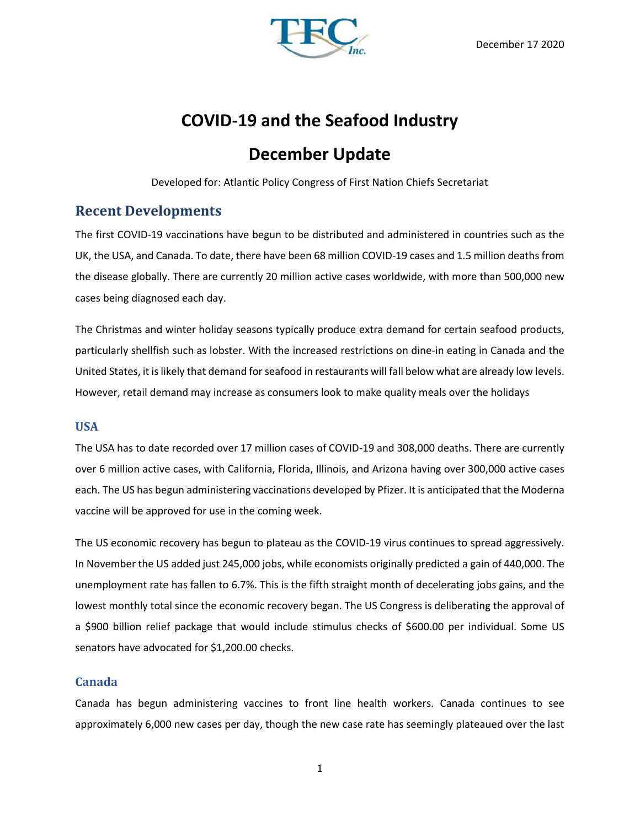

# **COVID-19 and the Seafood Industry**

# **December Update**

Developed for: Atlantic Policy Congress of First Nation Chiefs Secretariat

# **Recent Developments**

The first COVID-19 vaccinations have begun to be distributed and administered in countries such as the UK, the USA, and Canada. To date, there have been 68 million COVID-19 cases and 1.5 million deaths from the disease globally. There are currently 20 million active cases worldwide, with more than 500,000 new cases being diagnosed each day.

The Christmas and winter holiday seasons typically produce extra demand for certain seafood products, particularly shellfish such as lobster. With the increased restrictions on dine-in eating in Canada and the United States, it is likely that demand for seafood in restaurants will fall below what are already low levels. However, retail demand may increase as consumers look to make quality meals over the holidays

### **USA**

The USA has to date recorded over 17 million cases of COVID-19 and 308,000 deaths. There are currently over 6 million active cases, with California, Florida, Illinois, and Arizona having over 300,000 active cases each. The US has begun administering vaccinations developed by Pfizer. It is anticipated that the Moderna vaccine will be approved for use in the coming week.

The US economic recovery has begun to plateau as the COVID-19 virus continues to spread aggressively. In November the US added just 245,000 jobs, while economists originally predicted a gain of 440,000. The unemployment rate has fallen to 6.7%. This is the fifth straight month of decelerating jobs gains, and the lowest monthly total since the economic recovery began. The US Congress is deliberating the approval of a \$900 billion relief package that would include stimulus checks of \$600.00 per individual. Some US senators have advocated for \$1,200.00 checks.

### **Canada**

Canada has begun administering vaccines to front line health workers. Canada continues to see approximately 6,000 new cases per day, though the new case rate has seemingly plateaued over the last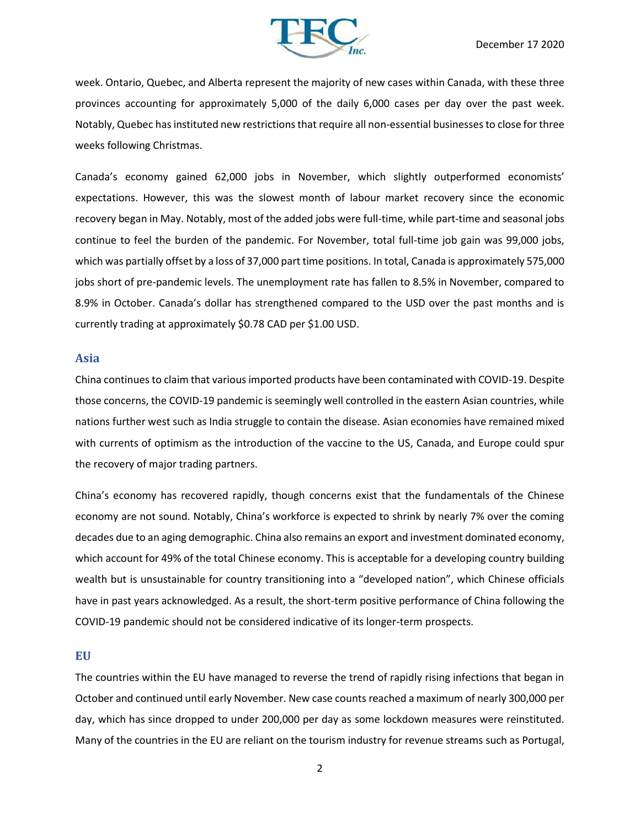

week. Ontario, Quebec, and Alberta represent the majority of new cases within Canada, with these three provinces accounting for approximately 5,000 of the daily 6,000 cases per day over the past week. Notably, Quebec has instituted new restrictions that require all non-essential businesses to close for three weeks following Christmas.

Canada's economy gained 62,000 jobs in November, which slightly outperformed economists' expectations. However, this was the slowest month of labour market recovery since the economic recovery began in May. Notably, most of the added jobs were full-time, while part-time and seasonal jobs continue to feel the burden of the pandemic. For November, total full-time job gain was 99,000 jobs, which was partially offset by a loss of 37,000 part time positions. In total, Canada is approximately 575,000 jobs short of pre-pandemic levels. The unemployment rate has fallen to 8.5% in November, compared to 8.9% in October. Canada's dollar has strengthened compared to the USD over the past months and is currently trading at approximately \$0.78 CAD per \$1.00 USD.

#### **Asia**

China continues to claim that various imported products have been contaminated with COVID-19. Despite those concerns, the COVID-19 pandemic is seemingly well controlled in the eastern Asian countries, while nations further west such as India struggle to contain the disease. Asian economies have remained mixed with currents of optimism as the introduction of the vaccine to the US, Canada, and Europe could spur the recovery of major trading partners.

China's economy has recovered rapidly, though concerns exist that the fundamentals of the Chinese economy are not sound. Notably, China's workforce is expected to shrink by nearly 7% over the coming decades due to an aging demographic. China also remains an export and investment dominated economy, which account for 49% of the total Chinese economy. This is acceptable for a developing country building wealth but is unsustainable for country transitioning into a "developed nation", which Chinese officials have in past years acknowledged. As a result, the short-term positive performance of China following the COVID-19 pandemic should not be considered indicative of its longer-term prospects.

#### **EU**

The countries within the EU have managed to reverse the trend of rapidly rising infections that began in October and continued until early November. New case counts reached a maximum of nearly 300,000 per day, which has since dropped to under 200,000 per day as some lockdown measures were reinstituted. Many of the countries in the EU are reliant on the tourism industry for revenue streams such as Portugal,

2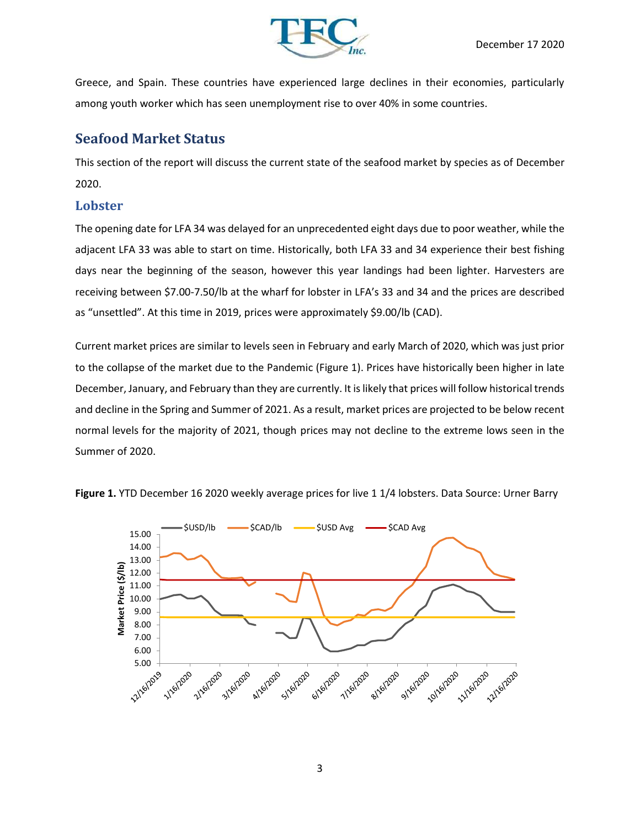

Greece, and Spain. These countries have experienced large declines in their economies, particularly among youth worker which has seen unemployment rise to over 40% in some countries.

# **Seafood Market Status**

This section of the report will discuss the current state of the seafood market by species as of December 2020.

### **Lobster**

The opening date for LFA 34 was delayed for an unprecedented eight days due to poor weather, while the adjacent LFA 33 was able to start on time. Historically, both LFA 33 and 34 experience their best fishing days near the beginning of the season, however this year landings had been lighter. Harvesters are receiving between \$7.00-7.50/lb at the wharf for lobster in LFA's 33 and 34 and the prices are described as "unsettled". At this time in 2019, prices were approximately \$9.00/lb (CAD).

Current market prices are similar to levels seen in February and early March of 2020, which was just prior to the collapse of the market due to the Pandemic (Figure 1). Prices have historically been higher in late December, January, and February than they are currently. It islikely that prices will follow historical trends and decline in the Spring and Summer of 2021. As a result, market prices are projected to be below recent normal levels for the majority of 2021, though prices may not decline to the extreme lows seen in the Summer of 2020.



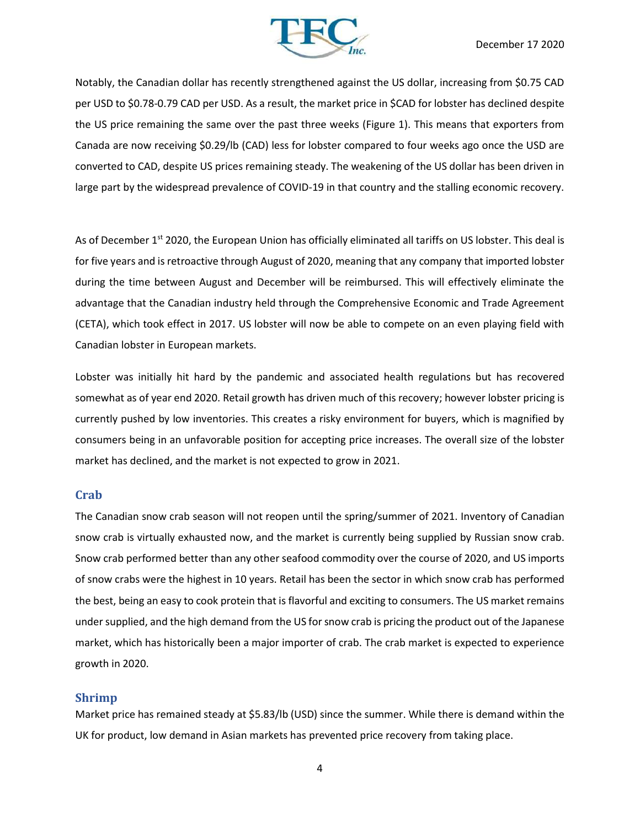

Notably, the Canadian dollar has recently strengthened against the US dollar, increasing from \$0.75 CAD per USD to \$0.78-0.79 CAD per USD. As a result, the market price in \$CAD for lobster has declined despite the US price remaining the same over the past three weeks (Figure 1). This means that exporters from Canada are now receiving \$0.29/lb (CAD) less for lobster compared to four weeks ago once the USD are converted to CAD, despite US prices remaining steady. The weakening of the US dollar has been driven in large part by the widespread prevalence of COVID-19 in that country and the stalling economic recovery.

As of December 1<sup>st</sup> 2020, the European Union has officially eliminated all tariffs on US lobster. This deal is for five years and is retroactive through August of 2020, meaning that any company that imported lobster during the time between August and December will be reimbursed. This will effectively eliminate the advantage that the Canadian industry held through the Comprehensive Economic and Trade Agreement (CETA), which took effect in 2017. US lobster will now be able to compete on an even playing field with Canadian lobster in European markets.

Lobster was initially hit hard by the pandemic and associated health regulations but has recovered somewhat as of year end 2020. Retail growth has driven much of this recovery; however lobster pricing is currently pushed by low inventories. This creates a risky environment for buyers, which is magnified by consumers being in an unfavorable position for accepting price increases. The overall size of the lobster market has declined, and the market is not expected to grow in 2021.

### **Crab**

The Canadian snow crab season will not reopen until the spring/summer of 2021. Inventory of Canadian snow crab is virtually exhausted now, and the market is currently being supplied by Russian snow crab. Snow crab performed better than any other seafood commodity over the course of 2020, and US imports of snow crabs were the highest in 10 years. Retail has been the sector in which snow crab has performed the best, being an easy to cook protein that is flavorful and exciting to consumers. The US market remains under supplied, and the high demand from the US for snow crab is pricing the product out of the Japanese market, which has historically been a major importer of crab. The crab market is expected to experience growth in 2020.

#### **Shrimp**

Market price has remained steady at \$5.83/lb (USD) since the summer. While there is demand within the UK for product, low demand in Asian markets has prevented price recovery from taking place.

4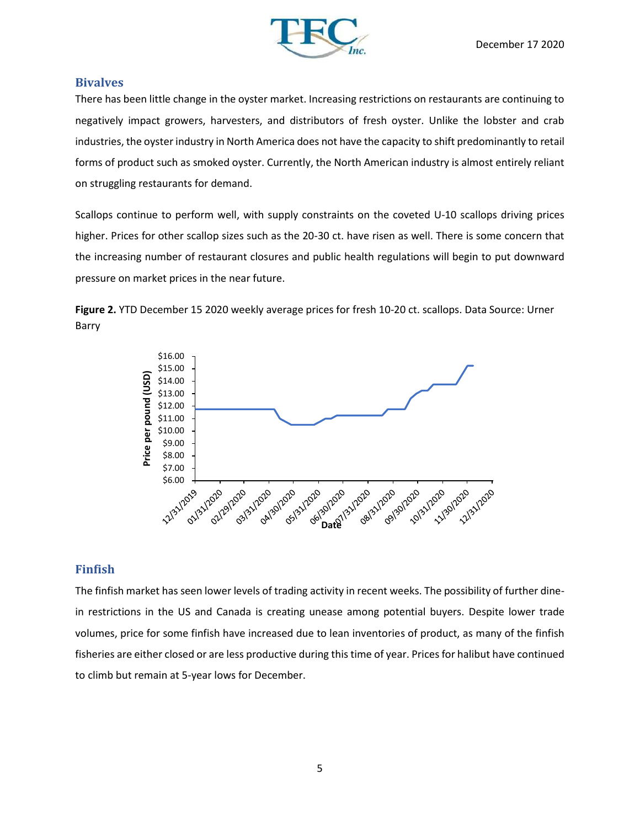

### **Bivalves**

There has been little change in the oyster market. Increasing restrictions on restaurants are continuing to negatively impact growers, harvesters, and distributors of fresh oyster. Unlike the lobster and crab industries, the oyster industry in North America does not have the capacity to shift predominantly to retail forms of product such as smoked oyster. Currently, the North American industry is almost entirely reliant on struggling restaurants for demand.

Scallops continue to perform well, with supply constraints on the coveted U-10 scallops driving prices higher. Prices for other scallop sizes such as the 20-30 ct. have risen as well. There is some concern that the increasing number of restaurant closures and public health regulations will begin to put downward pressure on market prices in the near future.

**Figure 2.** YTD December 15 2020 weekly average prices for fresh 10-20 ct. scallops. Data Source: Urner Barry



## **Finfish**

The finfish market has seen lower levels of trading activity in recent weeks. The possibility of further dinein restrictions in the US and Canada is creating unease among potential buyers. Despite lower trade volumes, price for some finfish have increased due to lean inventories of product, as many of the finfish fisheries are either closed or are less productive during this time of year. Prices for halibut have continued to climb but remain at 5-year lows for December.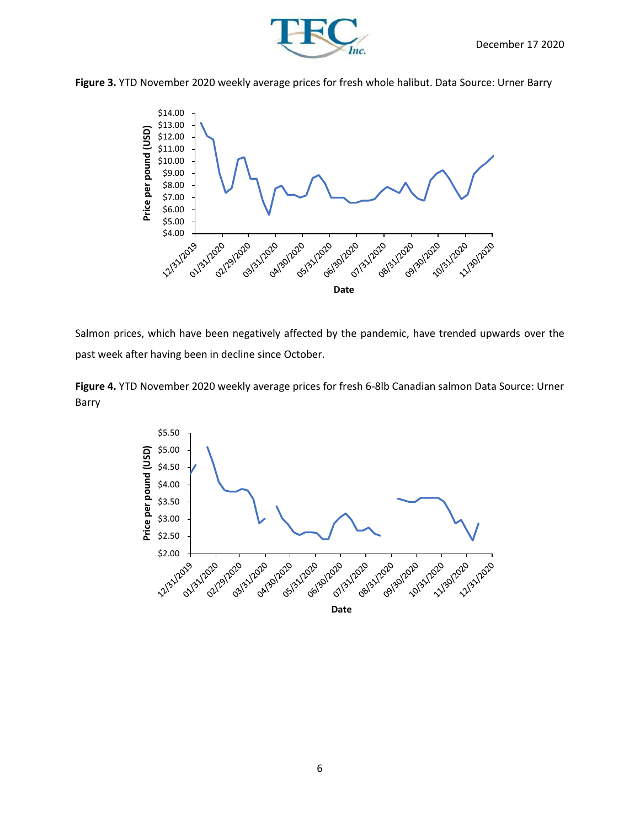



**Figure 3.** YTD November 2020 weekly average prices for fresh whole halibut. Data Source: Urner Barry



Salmon prices, which have been negatively affected by the pandemic, have trended upwards over the past week after having been in decline since October.

**Figure 4.** YTD November 2020 weekly average prices for fresh 6-8lb Canadian salmon Data Source: Urner Barry